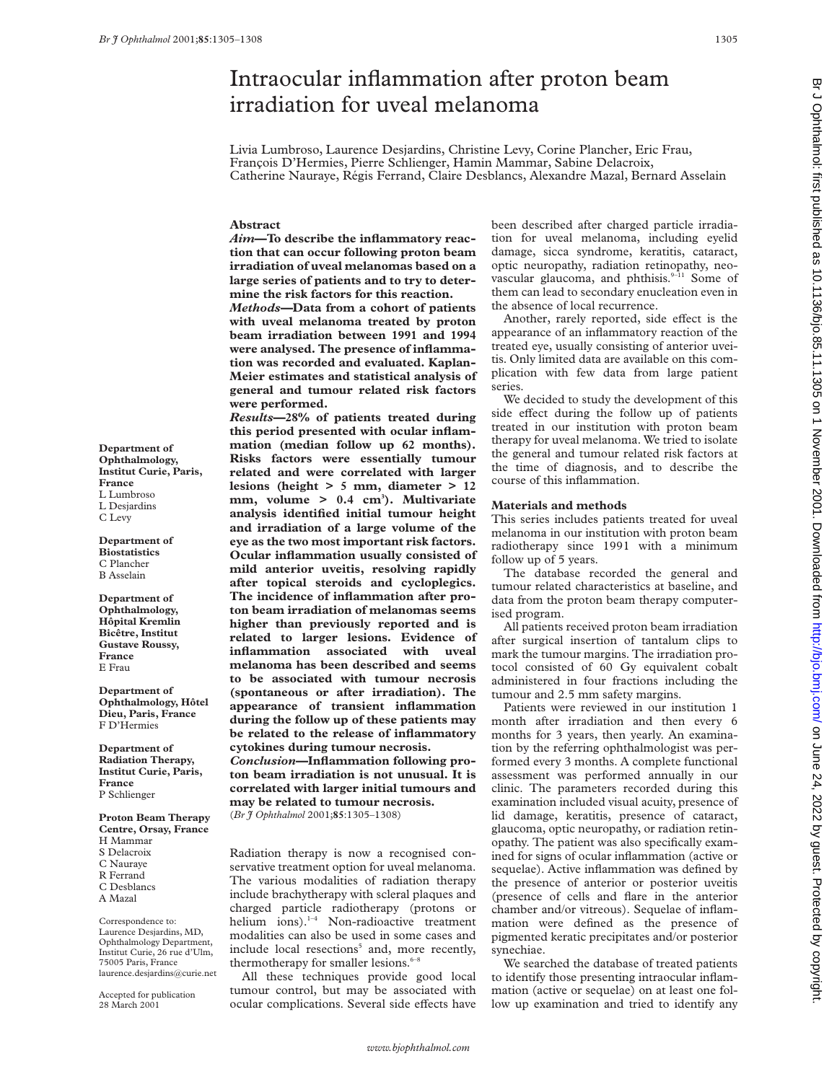# Intraocular inflammation after proton beam irradiation for uveal melanoma

Livia Lumbroso, Laurence Desjardins, Christine Levy, Corine Plancher, Eric Frau, François D'Hermies, Pierre Schlienger, Hamin Mammar, Sabine Delacroix, Catherine Nauraye, Régis Ferrand, Claire Desblancs, Alexandre Mazal, Bernard Asselain

#### **Abstract**

*Aim***—To describe the inflammatory reaction that can occur following proton beam irradiation of uveal melanomas based on a large series of patients and to try to determine the risk factors for this reaction.**

*Methods—***Data from a cohort of patients with uveal melanoma treated by proton beam irradiation between 1991 and 1994 were analysed. The presence of inflammation was recorded and evaluated. Kaplan-Meier estimates and statistical analysis of general and tumour related risk factors were performed.**

*Results***—28% of patients treated during this period presented with ocular inflammation (median follow up 62 months). Risks factors were essentially tumour related and were correlated with larger lesions (height > 5 mm, diameter > 12 mm, volume > 0.4 cm3 ). Multivariate analysis identified initial tumour height and irradiation of a large volume of the eye as the two most important risk factors. Ocular inflammation usually consisted of mild anterior uveitis, resolving rapidly after topical steroids and cycloplegics. The incidence of inflammation after proton beam irradiation of melanomas seems higher than previously reported and is related to larger lesions. Evidence of inflammation associated with uveal melanoma has been described and seems to be associated with tumour necrosis (spontaneous or after irradiation). The appearance of transient inflammation during the follow up of these patients may be related to the release of inflammatory cytokines during tumour necrosis.** *Conclusion***—Inflammation following proton beam irradiation is not unusual. It is**

**correlated with larger initial tumours and may be related to tumour necrosis.** (*Br J Ophthalmol* 2001;**85**:1305–1308)

Radiation therapy is now a recognised conservative treatment option for uveal melanoma. The various modalities of radiation therapy include brachytherapy with scleral plaques and charged particle radiotherapy (protons or helium ions).<sup>1-4</sup> Non-radioactive treatment modalities can also be used in some cases and include local resections<sup>5</sup> and, more recently, thermotherapy for smaller lesions. $6-8$ 

All these techniques provide good local tumour control, but may be associated with ocular complications. Several side effects have

been described after charged particle irradiation for uveal melanoma, including eyelid damage, sicca syndrome, keratitis, cataract, optic neuropathy, radiation retinopathy, neovascular glaucoma, and phthisis.<sup>9-11</sup> Some of them can lead to secondary enucleation even in the absence of local recurrence.

Another, rarely reported, side effect is the appearance of an inflammatory reaction of the treated eye, usually consisting of anterior uveitis. Only limited data are available on this complication with few data from large patient series.

We decided to study the development of this side effect during the follow up of patients treated in our institution with proton beam therapy for uveal melanoma. We tried to isolate the general and tumour related risk factors at the time of diagnosis, and to describe the course of this inflammation.

### **Materials and methods**

This series includes patients treated for uveal melanoma in our institution with proton beam radiotherapy since 1991 with a minimum follow up of 5 years.

The database recorded the general and tumour related characteristics at baseline, and data from the proton beam therapy computerised program.

All patients received proton beam irradiation after surgical insertion of tantalum clips to mark the tumour margins. The irradiation protocol consisted of 60 Gy equivalent cobalt administered in four fractions including the tumour and 2.5 mm safety margins.

Patients were reviewed in our institution 1 month after irradiation and then every 6 months for 3 years, then yearly. An examination by the referring ophthalmologist was performed every 3 months. A complete functional assessment was performed annually in our clinic. The parameters recorded during this examination included visual acuity, presence of lid damage, keratitis, presence of cataract, glaucoma, optic neuropathy, or radiation retinopathy. The patient was also specifically examined for signs of ocular inflammation (active or sequelae). Active inflammation was defined by the presence of anterior or posterior uveitis (presence of cells and flare in the anterior chamber and/or vitreous). Sequelae of inflammation were defined as the presence of pigmented keratic precipitates and/or posterior synechiae.

We searched the database of treated patients to identify those presenting intraocular inflammation (active or sequelae) on at least one follow up examination and tried to identify any

Br J Ophthalmol: first published as 10.1136/bjo.85.11.1305 on 1 November 2001. Downloaded from http://bjo.bmj.com/ on June 24, 2022 by guest. Protected by copyright by Gram June 24, 2022 by Gram Br June 24, 2022 by copyright. Protected as 10.1.1305 on 1 November 2001. Downloaded as 10.1137. Displished and ast, published as 10.1136/bjo.85.11.1305 on 1 November 2001. Downloaded from Hig

**Ophthalmology, Institut Curie, Paris, France** L Lumbroso L Desjardins C Levy

**Department of**

**Department of Biostatistics** C Plancher B Asselain

**Department of Ophthalmology, Hôpital Kremlin Bicêtre, Institut Gustave Roussy, France** E Frau

**Department of Ophthalmology, Hôtel Dieu, Paris, France** F D'Hermies

**Department of Radiation Therapy, Institut Curie, Paris, France** P Schlienger

**Proton Beam Therapy Centre, Orsay, France** H Mammar S Delacroix C Nauraye

R Ferrand

C Desblancs

A Mazal

Correspondence to: Laurence Desjardins, MD, Ophthalmology Department, Institut Curie, 26 rue d'Ulm, 75005 Paris, France laurence.desjardins@curie.net

Accepted for publication 28 March 2001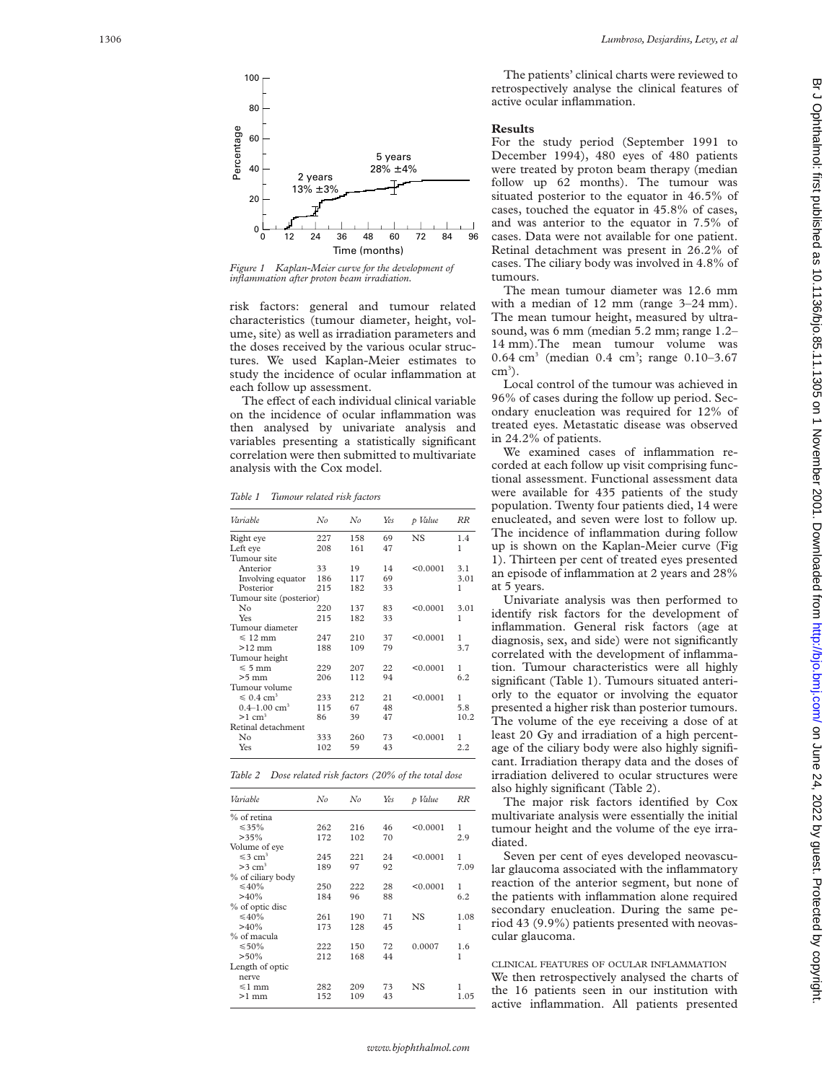

*Figure 1 Kaplan-Meier curve for the development of inflammation after proton beam irradiation.*

risk factors: general and tumour related characteristics (tumour diameter, height, volume, site) as well as irradiation parameters and the doses received by the various ocular structures. We used Kaplan-Meier estimates to study the incidence of ocular inflammation at each follow up assessment.

The effect of each individual clinical variable on the incidence of ocular inflammation was then analysed by univariate analysis and variables presenting a statistically significant correlation were then submitted to multivariate analysis with the Cox model.

*Table 1 Tumour related risk factors*

| Variable                        | No  | No  | Yes | p Value  | RR   |
|---------------------------------|-----|-----|-----|----------|------|
| Right eye                       | 227 | 158 | 69  | NS       | 1.4  |
| Left eve                        | 208 | 161 | 47  |          | 1    |
| Tumour site                     |     |     |     |          |      |
| Anterior                        | 33  | 19  | 14  | < 0.0001 | 3.1  |
| Involving equator               | 186 | 117 | 69  |          | 3.01 |
| Posterior                       | 215 | 182 | 33  |          | 1    |
| Tumour site (posterior)         |     |     |     |          |      |
| No                              | 220 | 137 | 83  | < 0.0001 | 3.01 |
| Yes                             | 215 | 182 | 33  |          | 1    |
| Tumour diameter                 |     |     |     |          |      |
| $\leqslant$ 12 mm               | 247 | 210 | 37  | < 0.0001 | 1    |
| $>12$ mm                        | 188 | 109 | 79  |          | 3.7  |
| Tumour height                   |     |     |     |          |      |
| $\leqslant 5$ mm                | 229 | 207 | 22  | < 0.0001 | 1    |
| $>5$ mm                         | 206 | 112 | 94  |          | 6.2  |
| Tumour volume                   |     |     |     |          |      |
| $\leqslant 0.4$ cm <sup>3</sup> | 233 | 212 | 21  | < 0.0001 | 1    |
| $0.4 - 1.00$ cm <sup>3</sup>    | 115 | 67  | 48  |          | 5.8  |
| $>1$ cm <sup>3</sup>            | 86  | 39  | 47  |          | 10.2 |
| Retinal detachment              |     |     |     |          |      |
| No                              | 333 | 260 | 73  | < 0.0001 | 1    |
| Yes                             | 102 | 59  | 43  |          | 2.2  |

| Table 2 Dose related risk factors (20% of the total dose |  |  |  |
|----------------------------------------------------------|--|--|--|
|----------------------------------------------------------|--|--|--|

| Variable                 | No  | No  | Yes | p Value  | RR   |
|--------------------------|-----|-----|-----|----------|------|
| % of retina              |     |     |     |          |      |
| $\leq 35\%$              | 262 | 216 | 46  | < 0.0001 | 1    |
| >35%                     | 172 | 102 | 70  |          | 2.9  |
| Volume of eye            |     |     |     |          |      |
| $\leq 3$ cm <sup>3</sup> | 245 | 221 | 24  | < 0.0001 | 1    |
| $>3$ cm <sup>3</sup>     | 189 | 97  | 92  |          | 7.09 |
| % of ciliary body        |     |     |     |          |      |
| $\leq 40\%$              | 250 | 222 | 28  | < 0.0001 | 1    |
| >40%                     | 184 | 96  | 88  |          | 6.2  |
| % of optic disc          |     |     |     |          |      |
| $\leq 40\%$              | 261 | 190 | 71  | NS       | 1.08 |
| >40%                     | 173 | 128 | 45  |          | 1    |
| % of macula              |     |     |     |          |      |
| $\leq 50\%$              | 222 | 150 | 72  | 0.0007   | 1.6  |
| $> 50\%$                 | 212 | 168 | 44  |          | 1    |
| Length of optic          |     |     |     |          |      |
| nerve                    |     |     |     |          |      |
| $\leq 1$ mm              | 282 | 209 | 73  | NS.      | 1    |
| $>1$ mm                  | 152 | 109 | 43  |          | 1.05 |
|                          |     |     |     |          |      |

The patients' clinical charts were reviewed to retrospectively analyse the clinical features of active ocular inflammation.

## **Results**

For the study period (September 1991 to December 1994), 480 eyes of 480 patients were treated by proton beam therapy (median follow up 62 months). The tumour was situated posterior to the equator in 46.5% of cases, touched the equator in 45.8% of cases, and was anterior to the equator in 7.5% of cases. Data were not available for one patient. Retinal detachment was present in 26.2% of cases. The ciliary body was involved in 4.8% of tumours.

The mean tumour diameter was 12.6 mm with a median of 12 mm (range 3–24 mm). The mean tumour height, measured by ultrasound, was 6 mm (median 5.2 mm; range 1.2– 14 mm).The mean tumour volume was 0.64 cm <sup>3</sup> (median 0.4 cm 3 ; range 0.10–3.67 cm<sup>3</sup>).

Local control of the tumour was achieved in 96% of cases during the follow up period. Secondary enucleation was required for 12% of treated eyes. Metastatic disease was observed in 24.2% of patients.

We examined cases of inflammation recorded at each follow up visit comprising functional assessment. Functional assessment data were available for 435 patients of the study population. Twenty four patients died, 14 were enucleated, and seven were lost to follow up. The incidence of inflammation during follow up is shown on the Kaplan-Meier curve (Fig 1). Thirteen per cent of treated eyes presented an episode of inflammation at 2 years and 28% at 5 years.

Univariate analysis was then performed to identify risk factors for the development of inflammation. General risk factors (age at diagnosis, sex, and side) were not significantly correlated with the development of inflammation. Tumour characteristics were all highly significant (Table 1). Tumours situated anteriorly to the equator or involving the equator presented a higher risk than posterior tumours. The volume of the eye receiving a dose of at least 20 Gy and irradiation of a high percentage of the ciliary body were also highly significant. Irradiation therapy data and the doses of irradiation delivered to ocular structures were also highly significant (Table 2).

The major risk factors identified by Cox multivariate analysis were essentially the initial tumour height and the volume of the eye irradiated.

Seven per cent of eyes developed neovascular glaucoma associated with the inflammatory reaction of the anterior segment, but none of the patients with inflammation alone required secondary enucleation. During the same period 43 (9.9%) patients presented with neovascular glaucoma.

# CLINICAL FEATURES OF OCULAR INFLAMMATION

We then retrospectively analysed the charts of the 16 patients seen in our institution with active inflammation. All patients presented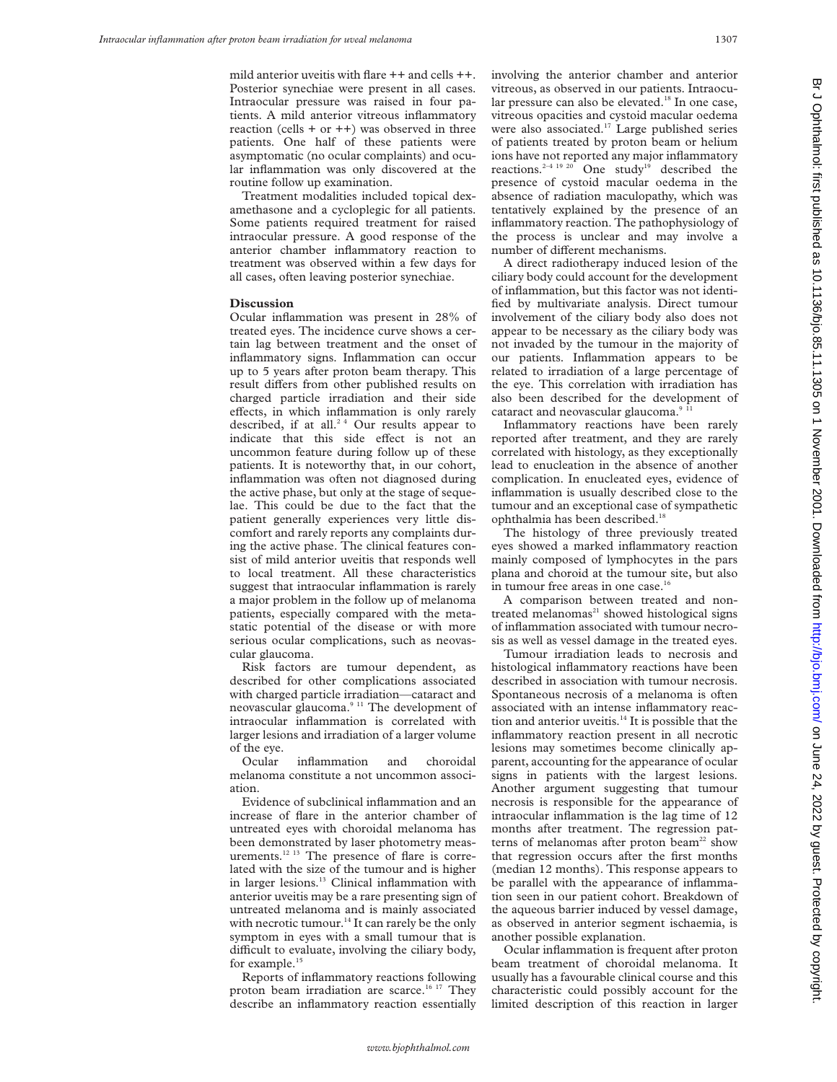mild anterior uveitis with flare ++ and cells ++. Posterior synechiae were present in all cases. Intraocular pressure was raised in four patients. A mild anterior vitreous inflammatory reaction (cells  $+$  or  $++$ ) was observed in three patients. One half of these patients were asymptomatic (no ocular complaints) and ocular inflammation was only discovered at the routine follow up examination.

Treatment modalities included topical dexamethasone and a cycloplegic for all patients. Some patients required treatment for raised intraocular pressure. A good response of the anterior chamber inflammatory reaction to treatment was observed within a few days for all cases, often leaving posterior synechiae.

#### **Discussion**

Ocular inflammation was present in 28% of treated eyes. The incidence curve shows a certain lag between treatment and the onset of inflammatory signs. Inflammation can occur up to 5 years after proton beam therapy. This result differs from other published results on charged particle irradiation and their side effects, in which inflammation is only rarely described, if at all.<sup>24</sup> Our results appear to indicate that this side effect is not an uncommon feature during follow up of these patients. It is noteworthy that, in our cohort, inflammation was often not diagnosed during the active phase, but only at the stage of sequelae. This could be due to the fact that the patient generally experiences very little discomfort and rarely reports any complaints during the active phase. The clinical features consist of mild anterior uveitis that responds well to local treatment. All these characteristics suggest that intraocular inflammation is rarely a major problem in the follow up of melanoma patients, especially compared with the metastatic potential of the disease or with more serious ocular complications, such as neovascular glaucoma.

Risk factors are tumour dependent, as described for other complications associated with charged particle irradiation—cataract and neovascular glaucoma.9 11 The development of intraocular inflammation is correlated with larger lesions and irradiation of a larger volume of the eye.

Ocular inflammation and choroidal melanoma constitute a not uncommon association.

Evidence of subclinical inflammation and an increase of flare in the anterior chamber of untreated eyes with choroidal melanoma has been demonstrated by laser photometry measurements.<sup>12 13</sup> The presence of flare is correlated with the size of the tumour and is higher in larger lesions.<sup>13</sup> Clinical inflammation with anterior uveitis may be a rare presenting sign of untreated melanoma and is mainly associated with necrotic tumour.<sup>14</sup> It can rarely be the only symptom in eyes with a small tumour that is difficult to evaluate, involving the ciliary body, for example.<sup>15</sup>

Reports of inflammatory reactions following proton beam irradiation are scarce.<sup>16 17</sup> They describe an inflammatory reaction essentially

involving the anterior chamber and anterior vitreous, as observed in our patients. Intraocular pressure can also be elevated.<sup>18</sup> In one case, vitreous opacities and cystoid macular oedema were also associated.<sup>17</sup> Large published series of patients treated by proton beam or helium ions have not reported any major inflammatory reactions.<sup>2-4 19 20</sup> One study<sup>19</sup> described the presence of cystoid macular oedema in the absence of radiation maculopathy, which was tentatively explained by the presence of an inflammatory reaction. The pathophysiology of the process is unclear and may involve a number of different mechanisms.

A direct radiotherapy induced lesion of the ciliary body could account for the development of inflammation, but this factor was not identified by multivariate analysis. Direct tumour involvement of the ciliary body also does not appear to be necessary as the ciliary body was not invaded by the tumour in the majority of our patients. Inflammation appears to be related to irradiation of a large percentage of the eye. This correlation with irradiation has also been described for the development of cataract and neovascular glaucoma.<sup>9</sup>

Inflammatory reactions have been rarely reported after treatment, and they are rarely correlated with histology, as they exceptionally lead to enucleation in the absence of another complication. In enucleated eyes, evidence of inflammation is usually described close to the tumour and an exceptional case of sympathetic ophthalmia has been described.<sup>14</sup>

The histology of three previously treated eyes showed a marked inflammatory reaction mainly composed of lymphocytes in the pars plana and choroid at the tumour site, but also in tumour free areas in one case.<sup>16</sup>

A comparison between treated and nontreated melanomas $21$  showed histological signs of inflammation associated with tumour necrosis as well as vessel damage in the treated eyes.

Tumour irradiation leads to necrosis and histological inflammatory reactions have been described in association with tumour necrosis. Spontaneous necrosis of a melanoma is often associated with an intense inflammatory reaction and anterior uveitis.<sup>14</sup> It is possible that the inflammatory reaction present in all necrotic lesions may sometimes become clinically apparent, accounting for the appearance of ocular signs in patients with the largest lesions. Another argument suggesting that tumour necrosis is responsible for the appearance of intraocular inflammation is the lag time of 12 months after treatment. The regression patterns of melanomas after proton beam<sup>22</sup> show that regression occurs after the first months (median 12 months). This response appears to be parallel with the appearance of inflammation seen in our patient cohort. Breakdown of the aqueous barrier induced by vessel damage, as observed in anterior segment ischaemia, is another possible explanation.

Ocular inflammation is frequent after proton beam treatment of choroidal melanoma. It usually has a favourable clinical course and this characteristic could possibly account for the limited description of this reaction in larger